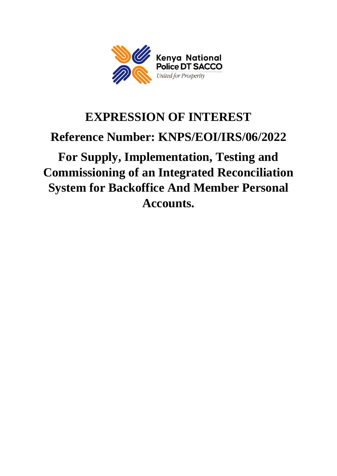

# **EXPRESSION OF INTEREST Reference Number: KNPS/EOI/IRS/06/2022 For Supply, Implementation, Testing and**

**Commissioning of an Integrated Reconciliation System for Backoffice And Member Personal Accounts.**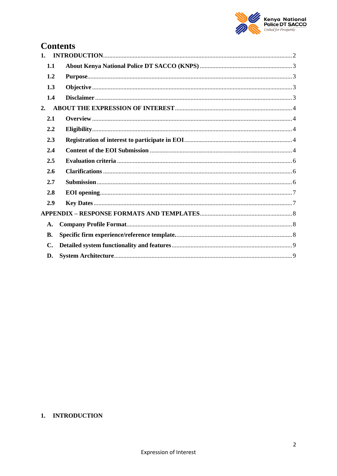

# **Contents**

| 1.        |  |
|-----------|--|
| 1.1       |  |
| 1.2       |  |
| 1.3       |  |
| 1.4       |  |
| 2.        |  |
| 2.1       |  |
| 2.2       |  |
| 2.3       |  |
| 2.4       |  |
| 2.5       |  |
| 2.6       |  |
| 2.7       |  |
| 2.8       |  |
| 2.9       |  |
|           |  |
| A.        |  |
| <b>B.</b> |  |
| C.        |  |
| D.        |  |

# <span id="page-1-0"></span>1. INTRODUCTION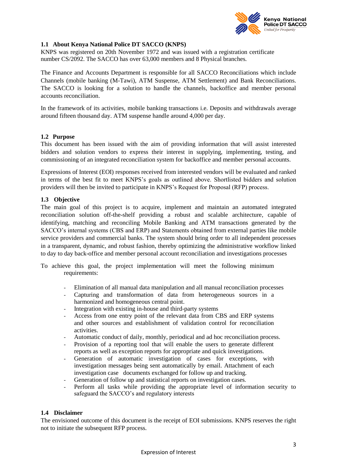

#### <span id="page-2-0"></span>**1.1 About Kenya National Police DT SACCO (KNPS)**

KNPS was registered on 20th November 1972 and was issued with a registration certificate number CS/2092. The SACCO has over 63,000 members and 8 Physical branches.

The Finance and Accounts Department is responsible for all SACCO Reconciliations which include Channels (mobile banking (M-Tawi), ATM Suspense, ATM Settlement) and Bank Reconciliations. The SACCO is looking for a solution to handle the channels, backoffice and member personal accounts reconciliation.

In the framework of its activities, mobile banking transactions i.e. Deposits and withdrawals average around fifteen thousand day. ATM suspense handle around 4,000 per day.

#### <span id="page-2-1"></span>**1.2 Purpose**

This document has been issued with the aim of providing information that will assist interested bidders and solution vendors to express their interest in supplying, implementing, testing, and commissioning of an integrated reconciliation system for backoffice and member personal accounts.

Expressions of Interest (EOI) responses received from interested vendors will be evaluated and ranked in terms of the best fit to meet KNPS's goals as outlined above. Shortlisted bidders and solution providers will then be invited to participate in KNPS's Request for Proposal (RFP) process.

#### <span id="page-2-2"></span>**1.3 Objective**

The main goal of this project is to acquire, implement and maintain an automated integrated reconciliation solution off-the-shelf providing a robust and scalable architecture, capable of identifying, matching and reconciling Mobile Banking and ATM transactions generated by the SACCO's internal systems (CBS and ERP) and Statements obtained from external parties like mobile service providers and commercial banks. The system should bring order to all independent processes in a transparent, dynamic, and robust fashion, thereby optimizing the administrative workflow linked to day to day back-office and member personal account reconciliation and investigations processes

To achieve this goal, the project implementation will meet the following minimum requirements:

- Elimination of all manual data manipulation and all manual reconciliation processes
- Capturing and transformation of data from heterogeneous sources in a harmonized and homogeneous central point.
- Integration with existing in-house and third-party systems
- Access from one entry point of the relevant data from CBS and ERP systems and other sources and establishment of validation control for reconciliation activities.
- Automatic conduct of daily, monthly, periodical and ad hoc reconciliation process.
- Provision of a reporting tool that will enable the users to generate different reports as well as exception reports for appropriate and quick investigations.
- Generation of automatic investigation of cases for exceptions, with investigation messages being sent automatically by email. Attachment of each investigation case documents exchanged for follow up and tracking.
- Generation of follow up and statistical reports on investigation cases.
- Perform all tasks while providing the appropriate level of information security to safeguard the SACCO's and regulatory interests

#### <span id="page-2-3"></span>**1.4 Disclaimer**

The envisioned outcome of this document is the receipt of EOI submissions. KNPS reserves the right not to initiate the subsequent RFP process.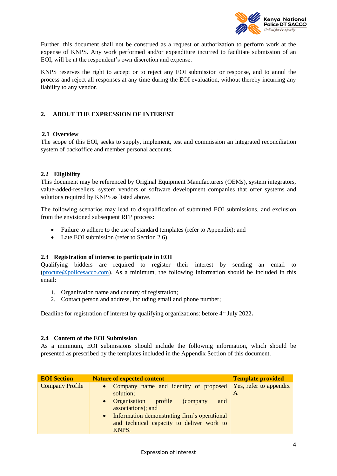

Further, this document shall not be construed as a request or authorization to perform work at the expense of KNPS. Any work performed and/or expenditure incurred to facilitate submission of an EOI, will be at the respondent's own discretion and expense.

KNPS reserves the right to accept or to reject any EOI submission or response, and to annul the process and reject all responses at any time during the EOI evaluation, without thereby incurring any liability to any vendor.

#### <span id="page-3-0"></span>**2. ABOUT THE EXPRESSION OF INTEREST**

#### <span id="page-3-1"></span>**2.1 Overview**

The scope of this EOI, seeks to supply, implement, test and commission an integrated reconciliation system of backoffice and member personal accounts.

#### <span id="page-3-2"></span>**2.2 Eligibility**

This document may be referenced by Original Equipment Manufacturers (OEMs), system integrators, value-added-resellers, system vendors or software development companies that offer systems and solutions required by KNPS as listed above.

The following scenarios may lead to disqualification of submitted EOI submissions, and exclusion from the envisioned subsequent RFP process:

- Failure to adhere to the use of standard templates (refer to Appendix); and
- Late EOI submission (refer to Section 2.6).

#### <span id="page-3-3"></span>**2.3 Registration of interest to participate in EOI**

Qualifying bidders are required to register their interest by sending an email to [\(procure@policesacco.com\)](mailto:procure@policesacco.com). As a minimum, the following information should be included in this email:

- 1. Organization name and country of registration;
- 2. Contact person and address, including email and phone number;

Deadline for registration of interest by qualifying organizations: before 4<sup>th</sup> July 2022.

#### <span id="page-3-4"></span>**2.4 Content of the EOI Submission**

As a minimum, EOI submissions should include the following information, which should be presented as prescribed by the templates included in the Appendix Section of this document.

| <b>EOI</b> Section     | <b>Nature of expected content</b>                                                                                                                                                                                                | <b>Template provided</b>    |
|------------------------|----------------------------------------------------------------------------------------------------------------------------------------------------------------------------------------------------------------------------------|-----------------------------|
| <b>Company Profile</b> | • Company name and identity of proposed<br>solution;<br>• Organisation profile<br>(company)<br>and<br>associations); and<br>• Information demonstrating firm's operational<br>and technical capacity to deliver work to<br>KNPS. | Yes, refer to appendix<br>A |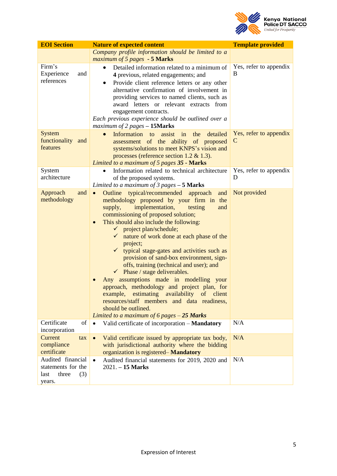

| <b>EOI</b> Section                                                        | <b>Nature of expected content</b>                                                                                                                                                                                                                                                                                                                                                                                                                                                                                                                                                                                                                                                                                                                                                                                                | <b>Template provided</b>    |
|---------------------------------------------------------------------------|----------------------------------------------------------------------------------------------------------------------------------------------------------------------------------------------------------------------------------------------------------------------------------------------------------------------------------------------------------------------------------------------------------------------------------------------------------------------------------------------------------------------------------------------------------------------------------------------------------------------------------------------------------------------------------------------------------------------------------------------------------------------------------------------------------------------------------|-----------------------------|
|                                                                           | Company profile information should be limited to a<br>maximum of 5 pages - 5 Marks                                                                                                                                                                                                                                                                                                                                                                                                                                                                                                                                                                                                                                                                                                                                               |                             |
| Firm's<br>Experience<br>and<br>references                                 | Detailed information related to a minimum of<br>4 previous, related engagements; and<br>Provide client reference letters or any other<br>alternative confirmation of involvement in<br>providing services to named clients, such as<br>award letters or relevant extracts from<br>engagement contracts.<br>Each previous experience should be outlined over a<br>maximum of 2 pages - 15Marks                                                                                                                                                                                                                                                                                                                                                                                                                                    | Yes, refer to appendix<br>B |
| <b>System</b><br>functionality and<br>features                            | Information to<br>assist<br>the<br>detailed<br>$\bullet$<br>in<br>assessment of the ability of proposed<br>systems/solutions to meet KNPS's vision and<br>processes (reference section 1.2 $&$ 1.3).<br>Limited to a maximum of 5 pages 35 - Marks                                                                                                                                                                                                                                                                                                                                                                                                                                                                                                                                                                               | Yes, refer to appendix<br>C |
| System<br>architecture                                                    | Information related to technical architecture<br>of the proposed systems.<br>Limited to a maximum of 3 pages $-5$ Marks                                                                                                                                                                                                                                                                                                                                                                                                                                                                                                                                                                                                                                                                                                          | Yes, refer to appendix<br>D |
| Approach<br>and<br>methodology                                            | Outline typical/recommended approach<br>and<br>$\bullet$<br>methodology proposed by your firm in the<br>implementation,<br>testing<br>supply,<br>and<br>commissioning of proposed solution;<br>This should also include the following:<br>$\bullet$<br>$\checkmark$ project plan/schedule;<br>nature of work done at each phase of the<br>$\checkmark$<br>project;<br>$\checkmark$<br>typical stage-gates and activities such as<br>provision of sand-box environment, sign-<br>offs, training (technical and user); and<br>$\checkmark$ Phase / stage deliverables.<br>Any assumptions made in modelling your<br>approach, methodology and project plan, for<br>example, estimating availability of client<br>resources/staff members and data readiness,<br>should be outlined.<br>Limited to a maximum of 6 pages $-25$ Marks | Not provided                |
| Certificate<br>of<br>incorporation                                        | Valid certificate of incorporation - Mandatory<br>$\bullet$                                                                                                                                                                                                                                                                                                                                                                                                                                                                                                                                                                                                                                                                                                                                                                      | N/A                         |
| Current<br>tax<br>compliance<br>certificate                               | Valid certificate issued by appropriate tax body,<br>$\bullet$<br>with jurisdictional authority where the bidding<br>organization is registered-Mandatory                                                                                                                                                                                                                                                                                                                                                                                                                                                                                                                                                                                                                                                                        | N/A                         |
| Audited financial<br>statements for the<br>three<br>last<br>(3)<br>years. | Audited financial statements for 2019, 2020 and<br>$\bullet$<br>$2021. - 15$ Marks                                                                                                                                                                                                                                                                                                                                                                                                                                                                                                                                                                                                                                                                                                                                               | N/A                         |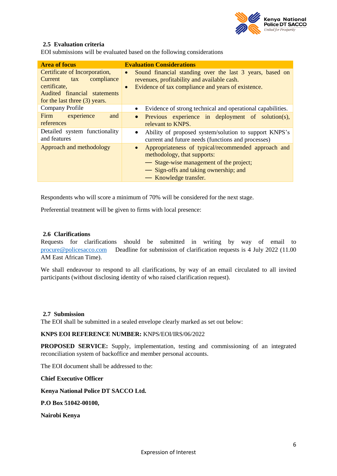

#### <span id="page-5-0"></span>**2.5 Evaluation criteria**

EOI submissions will be evaluated based on the following considerations

| <b>Area of focus</b>                                                                                                                           | <b>Evaluation Considerations</b>                                                                                                                                                                             |  |  |
|------------------------------------------------------------------------------------------------------------------------------------------------|--------------------------------------------------------------------------------------------------------------------------------------------------------------------------------------------------------------|--|--|
| Certificate of Incorporation,<br>Current<br>compliance<br>tax<br>certificate,<br>Audited financial statements<br>for the last three (3) years. | Sound financial standing over the last 3 years, based on<br>$\bullet$<br>revenues, profitability and available cash.<br>Evidence of tax compliance and years of existence.<br>$\bullet$                      |  |  |
| Company Profile                                                                                                                                | Evidence of strong technical and operational capabilities.<br>$\bullet$                                                                                                                                      |  |  |
| Firm experience<br>and<br>references                                                                                                           | Previous experience in deployment of solution(s),<br>$\bullet$<br>relevant to KNPS.                                                                                                                          |  |  |
| Detailed system functionality<br>and features                                                                                                  | Ability of proposed system/solution to support KNPS's<br>current and future needs (functions and processes)                                                                                                  |  |  |
| Approach and methodology                                                                                                                       | Appropriateness of typical/recommended approach and<br>$\bullet$<br>methodology, that supports:<br>- Stage-wise management of the project;<br>- Sign-offs and taking ownership; and<br>— Knowledge transfer. |  |  |

Respondents who will score a minimum of 70% will be considered for the next stage.

Preferential treatment will be given to firms with local presence:

#### <span id="page-5-1"></span>**2.6 Clarifications**

Requests for clarifications should be submitted in writing by way of email to [procure@policesacco.com](mailto:procure@policesacco.com) Deadline for submission of clarification requests is 4 July 2022 (11.00 AM East African Time).

We shall endeavour to respond to all clarifications, by way of an email circulated to all invited participants (without disclosing identity of who raised clarification request).

#### <span id="page-5-2"></span>**2.7 Submission**

The EOI shall be submitted in a sealed envelope clearly marked as set out below:

#### **KNPS EOI REFERENCE NUMBER:** KNPS/EOI/IRS/06/2022

**PROPOSED SERVICE:** Supply, implementation, testing and commissioning of an integrated reconciliation system of backoffice and member personal accounts.

The EOI document shall be addressed to the:

**Chief Executive Officer**

#### **Kenya National Police DT SACCO Ltd.**

#### **P.O Box 51042-00100,**

**Nairobi Kenya**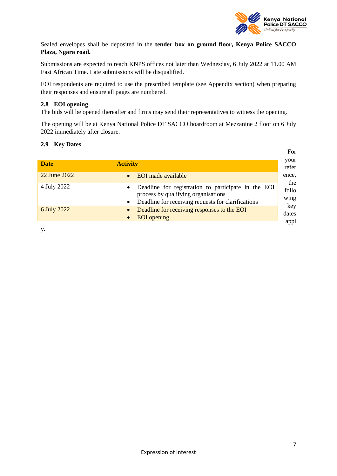

Sealed envelopes shall be deposited in the **tender box on ground floor, Kenya Police SACCO Plaza, Ngara road.**

Submissions are expected to reach KNPS offices not later than Wednesday, 6 July 2022 at 11.00 AM East African Time. Late submissions will be disqualified.

EOI respondents are required to use the prescribed template (see Appendix section) when preparing their responses and ensure all pages are numbered.

#### <span id="page-6-0"></span>**2.8 EOI opening**

The bids will be opened thereafter and firms may send their representatives to witness the opening.

The opening will be at Kenya National Police DT SACCO boardroom at Mezzanine 2 floor on 6 July 2022 immediately after closure.

#### <span id="page-6-1"></span>**2.9 Key Dates**

|              |                                                                                                                                                                            | For                  |
|--------------|----------------------------------------------------------------------------------------------------------------------------------------------------------------------------|----------------------|
| <b>Date</b>  | <b>Activity</b>                                                                                                                                                            | your<br>refer        |
| 22 June 2022 | EOI made available<br>$\bullet$                                                                                                                                            | ence,<br>the         |
| 4 July 2022  | Deadline for registration to participate in the EOI<br>$\bullet$<br>process by qualifying organisations<br>Deadline for receiving requests for clarifications<br>$\bullet$ | follo<br>wing        |
| 6 July 2022  | Deadline for receiving responses to the EOI<br><b>EOI</b> opening<br>$\bullet$                                                                                             | key<br>dates<br>appl |
|              |                                                                                                                                                                            |                      |

y**.**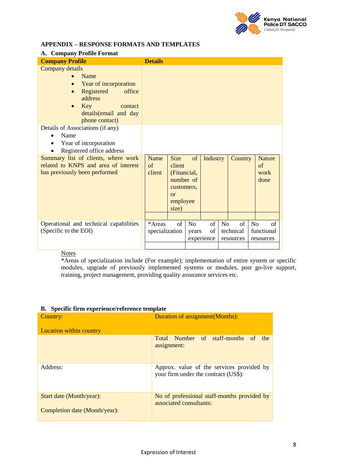

#### <span id="page-7-0"></span>**APPENDIX – RESPONSE FORMATS AND TEMPLATES**

<span id="page-7-1"></span>

| A. Company Profile Format                                                                                                                                                                                                                                     |                          |                                                                                            |                         |                        |                |                              |                |                                     |
|---------------------------------------------------------------------------------------------------------------------------------------------------------------------------------------------------------------------------------------------------------------|--------------------------|--------------------------------------------------------------------------------------------|-------------------------|------------------------|----------------|------------------------------|----------------|-------------------------------------|
| <b>Company Profile</b>                                                                                                                                                                                                                                        | <b>Details</b>           |                                                                                            |                         |                        |                |                              |                |                                     |
| Company details<br>Name<br>Year of incorporation<br>Registered<br>office<br>$\bullet$<br>address<br>Key<br>contact<br>$\bullet$<br>details (email and day<br>phone contact)<br>Details of Associations (if any)<br>Name<br>Year of incorporation<br>$\bullet$ |                          |                                                                                            |                         |                        |                |                              |                |                                     |
| Registered office address                                                                                                                                                                                                                                     |                          |                                                                                            |                         |                        |                |                              |                |                                     |
| Summary list of clients, where work<br>related to KNPS and area of interest<br>has previously been performed                                                                                                                                                  | Name<br>of<br>client     | <b>Size</b><br>client<br>(Financial,<br>number of<br>customers,<br>or<br>employee<br>size) | of                      | Industry               |                | Country                      |                | <b>Nature</b><br>of<br>work<br>done |
|                                                                                                                                                                                                                                                               |                          |                                                                                            |                         |                        |                |                              |                |                                     |
| Operational and technical capabilities<br>(Specific to the EOI)                                                                                                                                                                                               | *Areas<br>specialization | of                                                                                         | N <sub>o</sub><br>years | of<br>of<br>experience | N <sub>o</sub> | of<br>technical<br>resources | N <sub>o</sub> | of<br>functional<br>resources       |

#### **Notes**

\*Areas of specialization include (For example); implementation of entire system or specific modules, upgrade of previously implemented systems or modules, post go-live support, training, project management, providing quality assurance services etc.

| Di - o peemie mim enperience/reience template |                                                                                   |
|-----------------------------------------------|-----------------------------------------------------------------------------------|
| Country:                                      | Duration of assignment (Months):                                                  |
| <b>Location within country</b>                |                                                                                   |
|                                               | Total Number of staff-months of<br>the<br>assignment:                             |
| Address:                                      | Approx. value of the services provided by<br>your firm under the contract (US\$): |
| Start date (Month/year):                      | No of professional staff-months provided by<br>associated consultants:            |
| Completion date (Month/year):                 |                                                                                   |

#### <span id="page-7-2"></span>**B. Specific firm experience/reference template**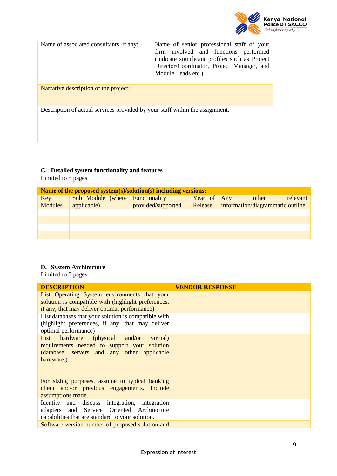

| Name of associated consultants, if any:                                      | Name of senior professional staff of your<br>firm involved and functions performed<br>(indicate significant profiles such as Project)<br>Director/Coordinator, Project Manager, and<br>Module Leads etc.). |
|------------------------------------------------------------------------------|------------------------------------------------------------------------------------------------------------------------------------------------------------------------------------------------------------|
| Narrative description of the project:                                        |                                                                                                                                                                                                            |
| Description of actual services provided by your staff within the assignment: |                                                                                                                                                                                                            |

## <span id="page-8-0"></span>**C. Detailed system functionality and features**

Limited to 5 pages

|                       | Name of the proposed system(s)/solution(s) including versions: |                    |             |                                                               |
|-----------------------|----------------------------------------------------------------|--------------------|-------------|---------------------------------------------------------------|
| Key<br><b>Modules</b> | Sub Module (where Functionality<br>applicable)                 | provided/supported | Year of Any | other<br>relevant<br>Release information/diagrammatic outline |
|                       |                                                                |                    |             |                                                               |
|                       |                                                                |                    |             |                                                               |
|                       |                                                                |                    |             |                                                               |
|                       |                                                                |                    |             |                                                               |

## <span id="page-8-1"></span>**D. System Architecture**

Limited to 3 pages